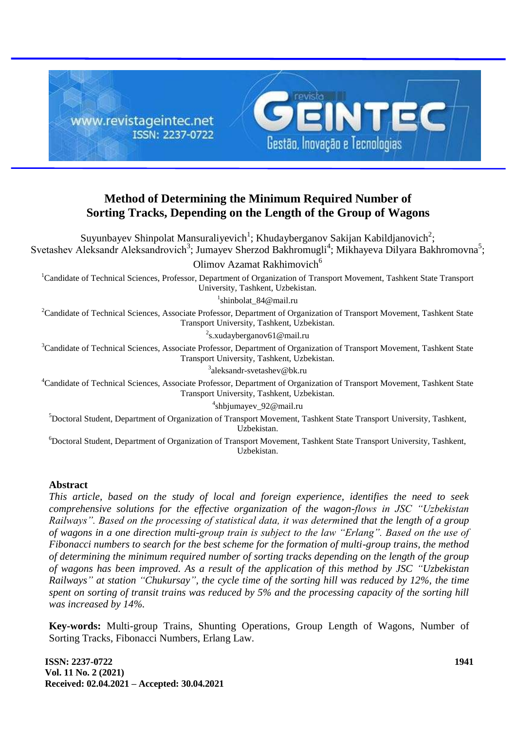

# **Method of Determining the Minimum Required Number of Sorting Tracks, Depending on the Length of the Group of Wagons**

Suyunbayev Shinpolat Mansuraliyevich<sup>1</sup>; Khudayberganov Sakijan Kabildjanovich<sup>2</sup>; Svetashev Aleksandr Aleksandrovich<sup>3</sup>; Jumayev Sherzod Bakhromugli<sup>4</sup>; Mikhayeva Dilyara Bakhromovna<sup>5</sup>; Olimov Azamat Rakhimovich<sup>6</sup> <sup>1</sup>Candidate of Technical Sciences, Professor, Department of Organization of Transport Movement, Tashkent State Transport University, Tashkent, Uzbekistan. 1 shinbolat\_84@mail.ru <sup>2</sup>Candidate of Technical Sciences, Associate Professor, Department of Organization of Transport Movement, Tashkent State Transport University, Tashkent, Uzbekistan. <sup>2</sup>s.xudayberganov61@mail.ru <sup>3</sup>Candidate of Technical Sciences, Associate Professor, Department of Organization of Transport Movement, Tashkent State Transport University, Tashkent, Uzbekistan. 3 aleksandr-svetashev@bk.ru <sup>4</sup>Candidate of Technical Sciences, Associate Professor, Department of Organization of Transport Movement, Tashkent State Transport University, Tashkent, Uzbekistan. 4 shbjumayev\_92@mail.ru <sup>5</sup>Doctoral Student, Department of Organization of Transport Movement, Tashkent State Transport University, Tashkent, Uzbekistan. <sup>6</sup>Doctoral Student, Department of Organization of Transport Movement, Tashkent State Transport University, Tashkent, Uzbekistan.

### **Abstract**

*This article, based on the study of local and foreign experience, identifies the need to seek comprehensive solutions for the effective organization of the wagon-flows in JSC "Uzbekistan Railways". Based on the processing of statistical data, it was determined that the length of a group of wagons in a one direction multi-group train is subject to the law "Erlang". Based on the use of Fibonacci numbers to search for the best scheme for the formation of multi-group trains, the method of determining the minimum required number of sorting tracks depending on the length of the group of wagons has been improved. As a result of the application of this method by JSC "Uzbekistan Railways" at station "Chukursay", the cycle time of the sorting hill was reduced by 12%, the time spent on sorting of transit trains was reduced by 5% and the processing capacity of the sorting hill was increased by 14%.*

**Key-words:** Multi-group Trains, Shunting Operations, Group Length of Wagons, Number of Sorting Tracks, Fibonacci Numbers, Erlang Law.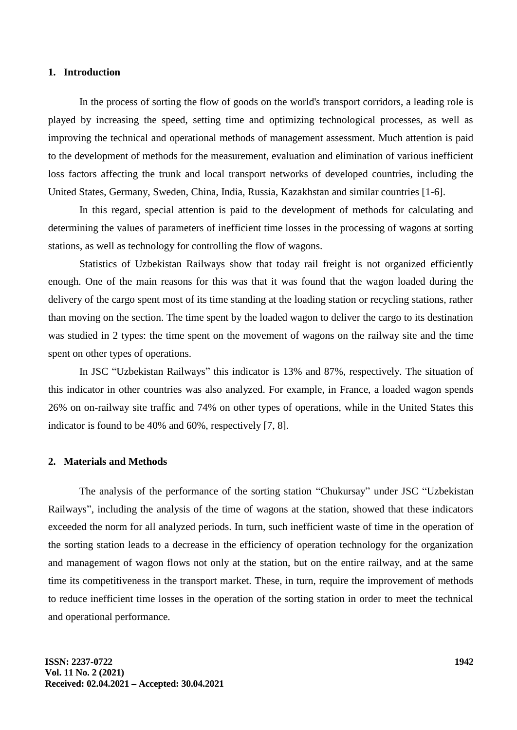### **1. Introduction**

In the process of sorting the flow of goods on the world's transport corridors, a leading role is played by increasing the speed, setting time and optimizing technological processes, as well as improving the technical and operational methods of management assessment. Much attention is paid to the development of methods for the measurement, evaluation and elimination of various inefficient loss factors affecting the trunk and local transport networks of developed countries, including the United States, Germany, Sweden, China, India, Russia, Kazakhstan and similar countries [1-6].

In this regard, special attention is paid to the development of methods for calculating and determining the values of parameters of inefficient time losses in the processing of wagons at sorting stations, as well as technology for controlling the flow of wagons.

Statistics of Uzbekistan Railways show that today rail freight is not organized efficiently enough. One of the main reasons for this was that it was found that the wagon loaded during the delivery of the cargo spent most of its time standing at the loading station or recycling stations, rather than moving on the section. The time spent by the loaded wagon to deliver the cargo to its destination was studied in 2 types: the time spent on the movement of wagons on the railway site and the time spent on other types of operations.

In JSC "Uzbekistan Railways" this indicator is 13% and 87%, respectively. The situation of this indicator in other countries was also analyzed. For example, in France, a loaded wagon spends 26% on on-railway site traffic and 74% on other types of operations, while in the United States this indicator is found to be 40% and 60%, respectively [7, 8].

### **2. Materials and Methods**

The analysis of the performance of the sorting station "Chukursay" under JSC "Uzbekistan Railways", including the analysis of the time of wagons at the station, showed that these indicators exceeded the norm for all analyzed periods. In turn, such inefficient waste of time in the operation of the sorting station leads to a decrease in the efficiency of operation technology for the organization and management of wagon flows not only at the station, but on the entire railway, and at the same time its competitiveness in the transport market. These, in turn, require the improvement of methods to reduce inefficient time losses in the operation of the sorting station in order to meet the technical and operational performance.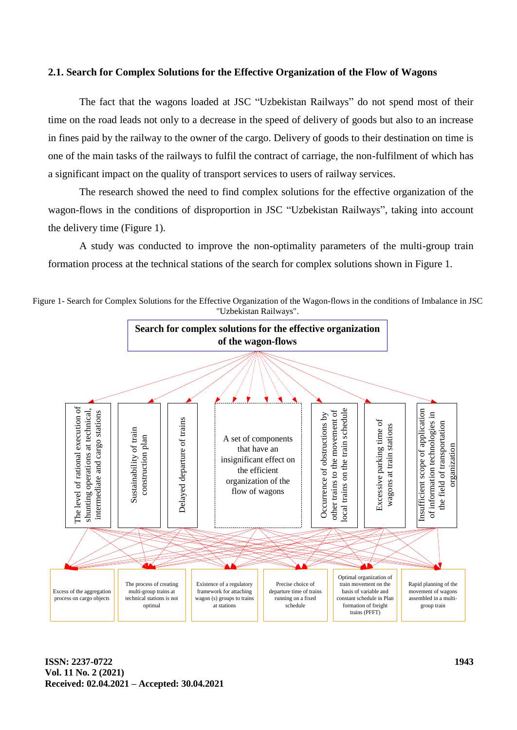### **2.1. Search for Complex Solutions for the Effective Organization of the Flow of Wagons**

The fact that the wagons loaded at JSC "Uzbekistan Railways" do not spend most of their time on the road leads not only to a decrease in the speed of delivery of goods but also to an increase in fines paid by the railway to the owner of the cargo. Delivery of goods to their destination on time is one of the main tasks of the railways to fulfil the contract of carriage, the non-fulfilment of which has a significant impact on the quality of transport services to users of railway services.

The research showed the need to find complex solutions for the effective organization of the wagon-flows in the conditions of disproportion in JSC "Uzbekistan Railways", taking into account the delivery time (Figure 1).

A study was conducted to improve the non-optimality parameters of the multi-group train formation process at the technical stations of the search for complex solutions shown in Figure 1.



Figure 1- Search for Complex Solutions for the Effective Organization of the Wagon-flows in the conditions of Imbalance in JSC "Uzbekistan Railways".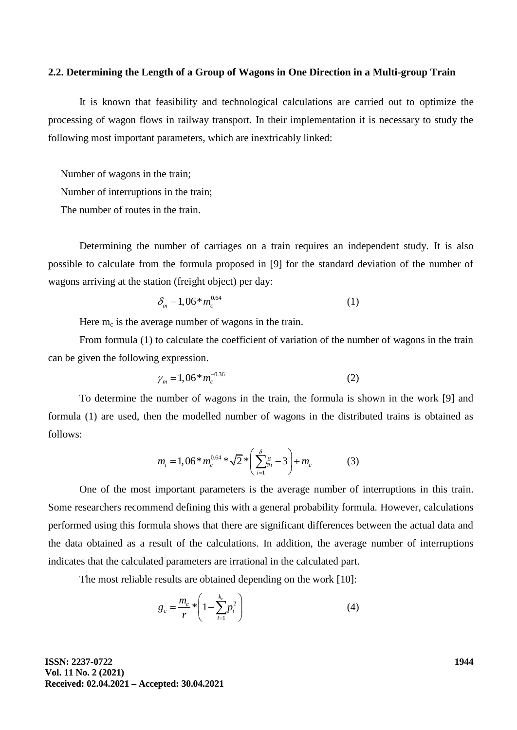### **2.2. Determining the Length of a Group of Wagons in One Direction in a Multi-group Train**

It is known that feasibility and technological calculations are carried out to optimize the processing of wagon flows in railway transport. In their implementation it is necessary to study the following most important parameters, which are inextricably linked:

Number of wagons in the train;

Number of interruptions in the train;

The number of routes in the train.

Determining the number of carriages on a train requires an independent study. It is also possible to calculate from the formula proposed in [9] for the standard deviation of the number of wagons arriving at the station (freight object) per day:

$$
\delta_m = 1,06 \ast m_c^{0.64} \tag{1}
$$

Here  $m_c$  is the average number of wagons in the train.

From formula (1) to calculate the coefficient of variation of the number of wagons in the train can be given the following expression.

$$
\gamma_m = 1,06 \ast m_c^{-0.36} \tag{2}
$$

To determine the number of wagons in the train, the formula is shown in the work [9] and formula (1) are used, then the modelled number of wagons in the distributed trains is obtained as follows:

$$
m_{i} = 1,06 \ast m_{c}^{0.64} \ast \sqrt{2} \ast \left(\sum_{i=1}^{3} \xi_{i} - 3\right) + m_{c} \tag{3}
$$

One of the most important parameters is the average number of interruptions in this train. Some researchers recommend defining this with a general probability formula. However, calculations performed using this formula shows that there are significant differences between the actual data and the data obtained as a result of the calculations. In addition, the average number of interruptions indicates that the calculated parameters are irrational in the calculated part.

The most reliable results are obtained depending on the work [10]:

$$
g_c = \frac{m_c}{r} * \left(1 - \sum_{i=1}^{k_c} p_i^2\right)
$$
 (4)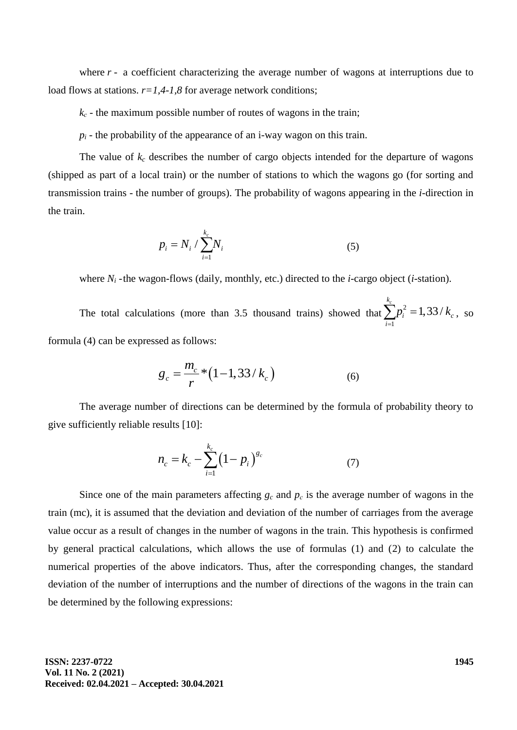where  $r - a$  coefficient characterizing the average number of wagons at interruptions due to load flows at stations.  $r=1,4-1,8$  for average network conditions;

 $k_c$  – the maximum possible number of routes of wagons in the train;

 $p_i$  - the probability of the appearance of an *i*-way wagon on this train.

The value of  $k_c$  describes the number of cargo objects intended for the departure of wagons (shipped as part of a local train) or the number of stations to which the wagons go (for sorting and transmission trains - the number of groups). The probability of wagons appearing in the *i*-direction in the train.

$$
p_i = N_i / \sum_{i=1}^{k_c} N_i
$$
 (5)

where *N<sup>i</sup>* -the wagon-flows (daily, monthly, etc.) directed to the *i*-cargo object (*i*-station).

The total calculations (more than 3.5 thousand trains) showed that  $\sum p_i^2$ 1  $\sum_{i=1}^{k_c} p_i^2 = 1,33/$  $r_i$  - 1, *JJ*  $r_i$ *i*  $p_i^2 = 1,33/k$  $\sum_{i=1} p_i^2 = 1,33/k_c$ , so formula (4) can be expressed as follows:

$$
g_c = \frac{m_c}{r} * (1 - 1.33 / k_c)
$$
 (6)

The average number of directions can be determined by the formula of probability theory to give sufficiently reliable results [10]:

$$
n_c = k_c - \sum_{i=1}^{k_c} (1 - p_i)^{g_c} \tag{7}
$$

Since one of the main parameters affecting  $g_c$  and  $p_c$  is the average number of wagons in the train (mc), it is assumed that the deviation and deviation of the number of carriages from the average value occur as a result of changes in the number of wagons in the train. This hypothesis is confirmed by general practical calculations, which allows the use of formulas (1) and (2) to calculate the numerical properties of the above indicators. Thus, after the corresponding changes, the standard deviation of the number of interruptions and the number of directions of the wagons in the train can be determined by the following expressions: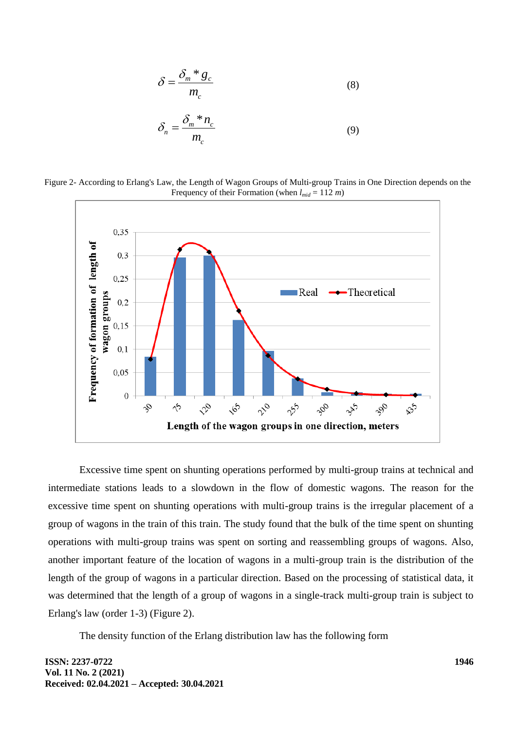$$
\delta = \frac{\delta_m * g_c}{m_c} \tag{8}
$$

$$
\delta_n = \frac{\delta_m * n_c}{m_c} \tag{9}
$$

Figure 2- According to Erlang's Law, the Length of Wagon Groups of Multi-group Trains in One Direction depends on the Frequency of their Formation (when  $l_{mid} = 112$  *m*)



Excessive time spent on shunting operations performed by multi-group trains at technical and intermediate stations leads to a slowdown in the flow of domestic wagons. The reason for the excessive time spent on shunting operations with multi-group trains is the irregular placement of a group of wagons in the train of this train. The study found that the bulk of the time spent on shunting operations with multi-group trains was spent on sorting and reassembling groups of wagons. Also, another important feature of the location of wagons in a multi-group train is the distribution of the length of the group of wagons in a particular direction. Based on the processing of statistical data, it was determined that the length of a group of wagons in a single-track multi-group train is subject to Erlang's law (order 1-3) (Figure 2).

The density function of the Erlang distribution law has the following form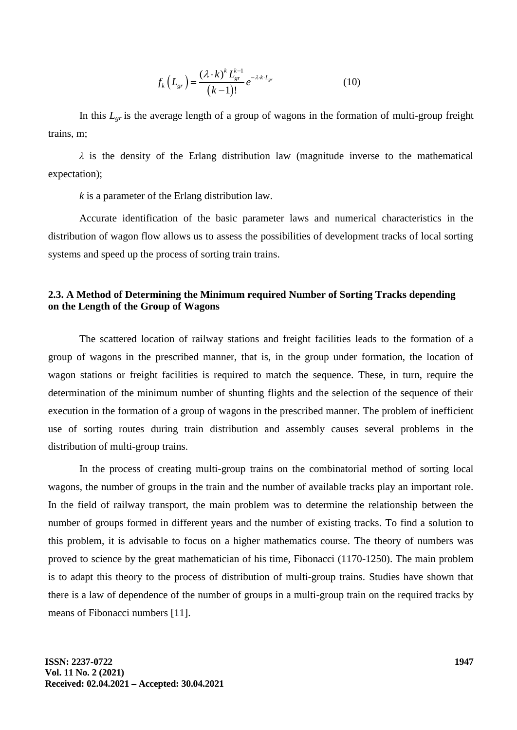$$
f_k(L_{gr}) = \frac{(\lambda \cdot k)^k L_{gr}^{k-1}}{(k-1)!} e^{-\lambda \cdot k \cdot L_{gr}} \tag{10}
$$

In this  $L_{gr}$  is the average length of a group of wagons in the formation of multi-group freight trains, m;

*λ* is the density of the Erlang distribution law (magnitude inverse to the mathematical expectation);

*k* is a parameter of the Erlang distribution law.

Accurate identification of the basic parameter laws and numerical characteristics in the distribution of wagon flow allows us to assess the possibilities of development tracks of local sorting systems and speed up the process of sorting train trains.

# **2.3. A Method of Determining the Minimum required Number of Sorting Tracks depending on the Length of the Group of Wagons**

The scattered location of railway stations and freight facilities leads to the formation of a group of wagons in the prescribed manner, that is, in the group under formation, the location of wagon stations or freight facilities is required to match the sequence. These, in turn, require the determination of the minimum number of shunting flights and the selection of the sequence of their execution in the formation of a group of wagons in the prescribed manner. The problem of inefficient use of sorting routes during train distribution and assembly causes several problems in the distribution of multi-group trains.

In the process of creating multi-group trains on the combinatorial method of sorting local wagons, the number of groups in the train and the number of available tracks play an important role. In the field of railway transport, the main problem was to determine the relationship between the number of groups formed in different years and the number of existing tracks. To find a solution to this problem, it is advisable to focus on a higher mathematics course. The theory of numbers was proved to science by the great mathematician of his time, Fibonacci (1170-1250). The main problem is to adapt this theory to the process of distribution of multi-group trains. Studies have shown that there is a law of dependence of the number of groups in a multi-group train on the required tracks by means of Fibonacci numbers [11].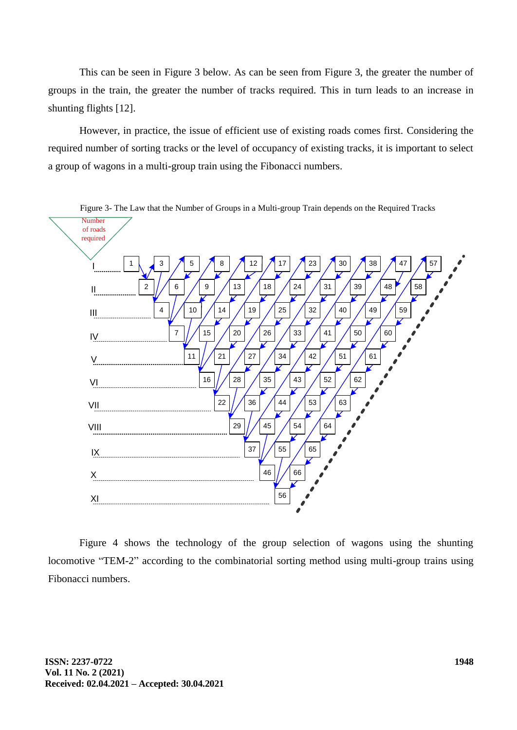This can be seen in Figure 3 below. As can be seen from Figure 3, the greater the number of groups in the train, the greater the number of tracks required. This in turn leads to an increase in shunting flights [12].

However, in practice, the issue of efficient use of existing roads comes first. Considering the required number of sorting tracks or the level of occupancy of existing tracks, it is important to select a group of wagons in a multi-group train using the Fibonacci numbers.



Figure 4 shows the technology of the group selection of wagons using the shunting locomotive "TEM-2" according to the combinatorial sorting method using multi-group trains using Fibonacci numbers.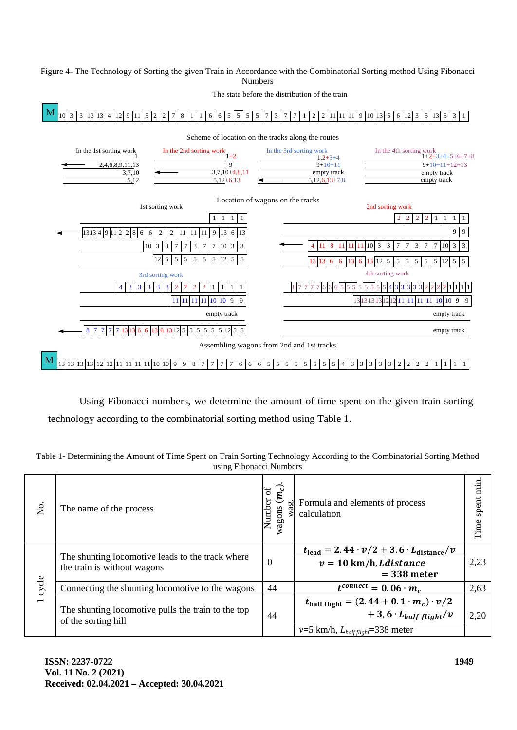### Figure 4- The Technology of Sorting the given Train in Accordance with the Combinatorial Sorting method Using Fibonacci Numbers



Using Fibonacci numbers, we determine the amount of time spent on the given train sorting technology according to the combinatorial sorting method using Table 1.

| using Fibonacci Numbers |                                                                                 |                                     |                                                                                                                                                              |                   |  |  |
|-------------------------|---------------------------------------------------------------------------------|-------------------------------------|--------------------------------------------------------------------------------------------------------------------------------------------------------------|-------------------|--|--|
| Σó                      | The name of the process                                                         | $(\bm{m_c})$<br>Number of<br>wagons | Formula and elements of process<br>calculation                                                                                                               | spent min<br>Time |  |  |
| 1 cycle                 | The shunting locomotive leads to the track where<br>the train is without wagons | $\boldsymbol{0}$                    | $t_{\text{lead}} = 2.44 \cdot \nu/2 + 3.6 \cdot L_{\text{distance}}/v$<br>$v = 10$ km/h, Ldistance<br>$=$ 338 meter                                          | 2,23              |  |  |
|                         | Connecting the shunting locomotive to the wagons                                | 44                                  | $t^{connect} = 0.06 \cdot m_c$                                                                                                                               | 2,63              |  |  |
|                         | The shunting locomotive pulls the train to the top<br>of the sorting hill       | 44                                  | $t_{\text{half flight}} = (2.44 + 0.1 \cdot m_c) \cdot \frac{v}{2}$<br>$+3,6$ $\cdot$ L <sub>half flight</sub> /v<br>$v=5$ km/h, $L_{half flight}=338$ meter | 2,20              |  |  |

Table 1- Determining the Amount of Time Spent on Train Sorting Technology According to the Combinatorial Sorting Method using Fibonacci Numbers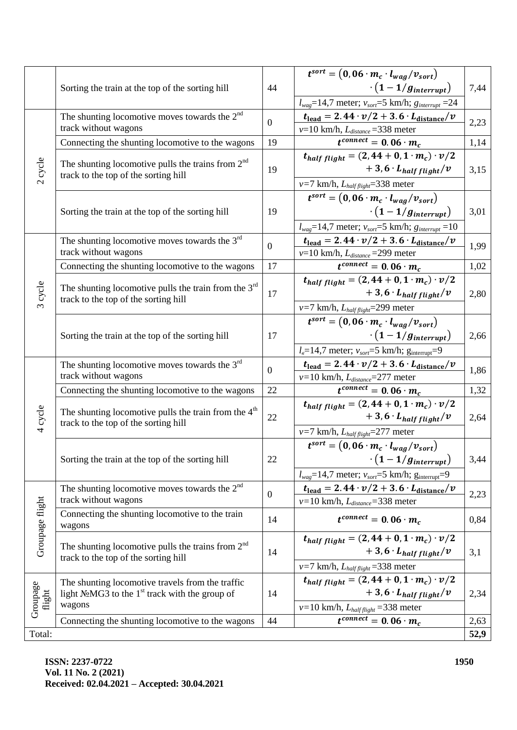|                    |                                                                                                                   |                | $t^{sort} = (0, 06 \cdot m_c \cdot l_{wag}/v_{sort})$                                                               |              |
|--------------------|-------------------------------------------------------------------------------------------------------------------|----------------|---------------------------------------------------------------------------------------------------------------------|--------------|
|                    | Sorting the train at the top of the sorting hill                                                                  | 44             | $\cdot (1-1/g_{interrupt})$                                                                                         | 7,44         |
|                    |                                                                                                                   |                |                                                                                                                     |              |
|                    |                                                                                                                   |                | $l_{wag}$ =14,7 meter; $v_{sort}$ =5 km/h; $g_{interrupt}$ =24                                                      |              |
| 2 cycle            | The shunting locomotive moves towards the $2nd$<br>track without wagons                                           | $\overline{0}$ | $t_{\text{lead}} = 2.44 \cdot \nu/2 + 3.6 \cdot L_{\text{distance}}/\nu$                                            | 2,23         |
|                    |                                                                                                                   |                | $v=10$ km/h, $L_{distance} = 338$ meter                                                                             |              |
|                    | Connecting the shunting locomotive to the wagons                                                                  | 19             | $\overline{t^{connect}} = 0.06 \cdot m_c$                                                                           | 1,14         |
|                    | The shunting locomotive pulls the trains from $2nd$<br>track to the top of the sorting hill                       | 19             | $t_{half flight} = (2, 44 + 0, 1 \cdot m_c) \cdot \nu/2$                                                            | 3,15<br>3,01 |
|                    |                                                                                                                   |                | $+3.6 \cdot L_{half\, flight}/v$                                                                                    |              |
|                    |                                                                                                                   |                | $v=7$ km/h, $L_{half flight}=338$ meter                                                                             |              |
|                    | Sorting the train at the top of the sorting hill                                                                  | 19             | $t^{sort} = (0, 06 \cdot m_c \cdot l_{wag}/v_{sort})$                                                               |              |
|                    |                                                                                                                   |                | $\cdot (1-1/g_{interrupt})$                                                                                         |              |
|                    |                                                                                                                   |                | $l_{wag}$ =14,7 meter; $v_{sort}$ =5 km/h; $g_{interrupt}$ =10                                                      |              |
|                    | The shunting locomotive moves towards the $3rd$<br>track without wagons                                           | $\overline{0}$ | $t_{\text{lead}} = 2.44 \cdot \nu/2 + 3.6 \cdot L_{\text{distance}}/\nu$                                            | 1,99         |
|                    |                                                                                                                   |                | $v=10$ km/h, $L_{distance} = 299$ meter                                                                             |              |
|                    | Connecting the shunting locomotive to the wagons                                                                  | 17             | $t^{connect} = 0.06 \cdot m_c$                                                                                      | 1,02         |
|                    |                                                                                                                   |                | $t_{half flight} = (2, 44 + 0, 1 \cdot m_c) \cdot \nu/2$                                                            | 2,80         |
| 3 cycle            | The shunting locomotive pulls the train from the $3rd$                                                            | 17             | $+3.6 \cdot L_{half\ flight}/v$                                                                                     |              |
|                    | track to the top of the sorting hill                                                                              |                | $v=7$ km/h, $L_{half flight}=299$ meter                                                                             |              |
|                    | Sorting the train at the top of the sorting hill                                                                  | 17             | $t^{sort} = (0, 06 \cdot m_c \cdot l_{wag}/v_{sort})$                                                               | 2,66         |
|                    |                                                                                                                   |                | $\cdot (1-1/g_{interrupt})$                                                                                         |              |
|                    |                                                                                                                   |                | $l_e$ =14,7 meter; $v_{sort}$ =5 km/h; $g_{interrupt}$ =9                                                           |              |
|                    | The shunting locomotive moves towards the $3rd$<br>track without wagons                                           | $\overline{0}$ |                                                                                                                     | 1,86         |
|                    |                                                                                                                   |                | $t_{\text{lead}} = 2.44 \cdot \nu/2 + 3.6 \cdot L_{\text{distance}}/\nu$<br>$v=10$ km/h, $L_{distance} = 277$ meter |              |
|                    | Connecting the shunting locomotive to the wagons                                                                  | 22             | $t^{connect} = 0.06 \cdot m_c$                                                                                      | 1,32         |
|                    | The shunting locomotive pulls the train from the $4th$<br>track to the top of the sorting hill                    | 22             | $t_{half flight} = (2, 44 + 0, 1 \cdot m_c) \cdot \frac{v}{2}$                                                      | 2,64         |
|                    |                                                                                                                   |                | $+3,6 \cdot L_{half\, flight}/v$                                                                                    |              |
| 4 cycle            |                                                                                                                   |                |                                                                                                                     |              |
|                    |                                                                                                                   |                | $v=7$ km/h, $L_{half flight}=277$ meter                                                                             |              |
|                    | Sorting the train at the top of the sorting hill                                                                  | 22             | $t^{sort} = (0, 06 \cdot m_c \cdot l_{wag}/v_{sort})$                                                               |              |
|                    |                                                                                                                   |                | $\cdot (1-1/g_{interrupt})$                                                                                         | 3,44         |
|                    |                                                                                                                   |                | $l_{wag}$ =14,7 meter; $v_{sort}$ =5 km/h; $g_{interrupt}$ =9                                                       |              |
|                    | The shunting locomotive moves towards the $2nd$                                                                   | $\mathbf{0}$   | $t_{\text{lead}} = 2.44 \cdot \nu/2 + 3.6 \cdot L_{\text{distance}}/\nu$                                            | 2,23         |
| Groupage flight    | track without wagons                                                                                              |                | $v=10$ km/h, $L_{distance}=338$ meter                                                                               |              |
|                    | Connecting the shunting locomotive to the train                                                                   | 14             | $t^{connect} = 0.06 \cdot m_c$                                                                                      | 0,84         |
|                    | wagons                                                                                                            |                |                                                                                                                     |              |
|                    | The shunting locomotive pulls the trains from $2nd$<br>track to the top of the sorting hill                       |                | $t_{half flight} = (2, 44 + 0, 1 \cdot m_c) \cdot \nu/2$                                                            | 3,1          |
|                    |                                                                                                                   | 14             | $+3,6$ $\cdot$ L <sub>half flight</sub> / $v$                                                                       |              |
|                    |                                                                                                                   |                | $v=7$ km/h, $L_{half flight}=338$ meter                                                                             |              |
| Groupage<br>flight | The shunting locomotive travels from the traffic<br>light $N_2MG3$ to the 1 <sup>st</sup> track with the group of | 14             | $t_{half flight} = (2, 44 + 0, 1 \cdot m_c) \cdot \frac{v}{2}$                                                      | 2,34         |
|                    |                                                                                                                   |                | $+3,6$ $\cdot$ L <sub>half flight</sub> / $v$                                                                       |              |
|                    | wagons                                                                                                            |                | $v=10$ km/h, $L_{half flight}=338$ meter                                                                            |              |
|                    | Connecting the shunting locomotive to the wagons                                                                  | 44             | $\overline{t^{connect}} = 0.06 \cdot m_c$                                                                           | 2,63         |
| Total:             |                                                                                                                   |                |                                                                                                                     | 52,9         |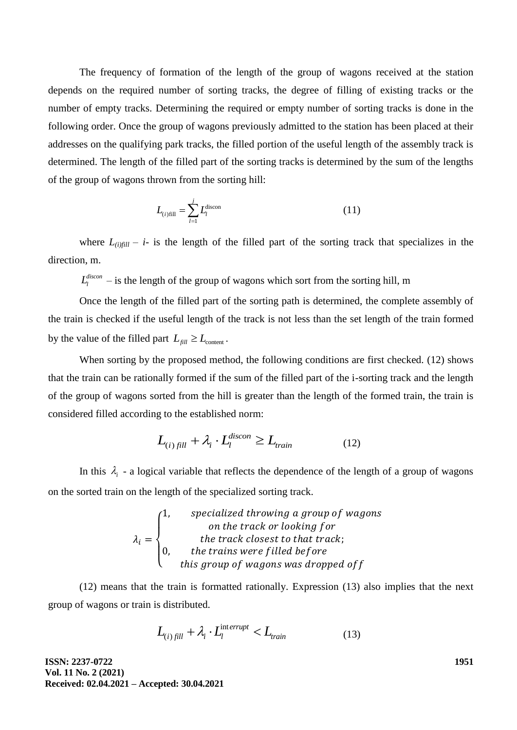The frequency of formation of the length of the group of wagons received at the station depends on the required number of sorting tracks, the degree of filling of existing tracks or the number of empty tracks. Determining the required or empty number of sorting tracks is done in the following order. Once the group of wagons previously admitted to the station has been placed at their addresses on the qualifying park tracks, the filled portion of the useful length of the assembly track is determined. The length of the filled part of the sorting tracks is determined by the sum of the lengths of the group of wagons thrown from the sorting hill:

$$
L_{(i)fill} = \sum_{l=1}^{j} L_l^{\text{discon}} \tag{11}
$$

where  $L_{\ell i}$ <sub>fill</sub> – *i*- is the length of the filled part of the sorting track that specializes in the direction, m.

 $L_l^{discon}$  – is the length of the group of wagons which sort from the sorting hill, m

Once the length of the filled part of the sorting path is determined, the complete assembly of the train is checked if the useful length of the track is not less than the set length of the train formed by the value of the filled part  $L_{\text{fill}} \geq L_{\text{content}}$ .

When sorting by the proposed method, the following conditions are first checked. (12) shows that the train can be rationally formed if the sum of the filled part of the i-sorting track and the length of the group of wagons sorted from the hill is greater than the length of the formed train, the train is considered filled according to the established norm:

$$
L_{(i) \, fill} + \lambda_i \cdot L_l^{discon} \ge L_{train} \tag{12}
$$

In this  $\lambda_i$  - a logical variable that reflects the dependence of the length of a group of wagons on the sorted train on the length of the specialized sorting track.

$$
\lambda_i = \begin{cases}\n1, & specialized throwing a group of wagons \\
 & on the track or looking for \\
0, & the trains were filled before \\
 & this group of wagons was dropped off\n\end{cases}
$$

(12) means that the train is formatted rationally. Expression (13) also implies that the next group of wagons or train is distributed.

$$
L_{(i) \, fill} + \lambda_i \cdot L_l^{\text{interrupt}} < L_{\text{train}} \tag{13}
$$

**ISSN: 2237-0722 Vol. 11 No. 2 (2021) Received: 02.04.2021 – Accepted: 30.04.2021** **1951**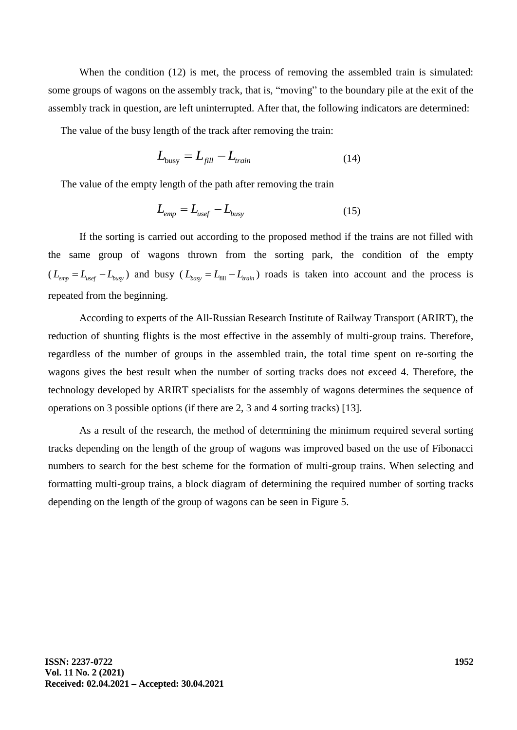When the condition (12) is met, the process of removing the assembled train is simulated: some groups of wagons on the assembly track, that is, "moving" to the boundary pile at the exit of the assembly track in question, are left uninterrupted. After that, the following indicators are determined:

The value of the busy length of the track after removing the train:

$$
L_{\text{busy}} = L_{\text{fill}} - L_{\text{train}} \tag{14}
$$

The value of the empty length of the path after removing the train

$$
L_{emp} = L_{usef} - L_{busy}
$$
 (15)

If the sorting is carried out according to the proposed method if the trains are not filled with the same group of wagons thrown from the sorting park, the condition of the empty  $(L_{emp} = L_{usef} - L_{busy})$  and busy  $(L_{basy} = L_{fill} - L_{train})$  roads is taken into account and the process is repeated from the beginning.

According to experts of the All-Russian Research Institute of Railway Transport (ARIRT), the reduction of shunting flights is the most effective in the assembly of multi-group trains. Therefore, regardless of the number of groups in the assembled train, the total time spent on re-sorting the wagons gives the best result when the number of sorting tracks does not exceed 4. Therefore, the technology developed by ARIRT specialists for the assembly of wagons determines the sequence of operations on 3 possible options (if there are 2, 3 and 4 sorting tracks) [13].

As a result of the research, the method of determining the minimum required several sorting tracks depending on the length of the group of wagons was improved based on the use of Fibonacci numbers to search for the best scheme for the formation of multi-group trains. When selecting and formatting multi-group trains, a block diagram of determining the required number of sorting tracks depending on the length of the group of wagons can be seen in Figure 5.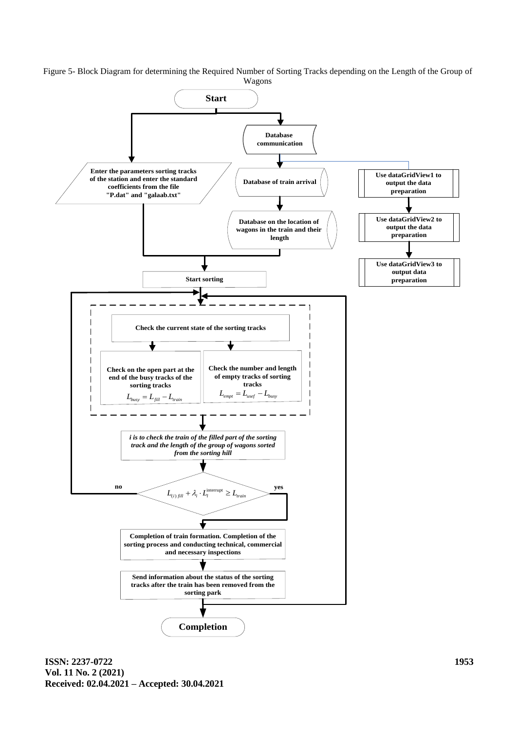Figure 5- Block Diagram for determining the Required Number of Sorting Tracks depending on the Length of the Group of Wagons

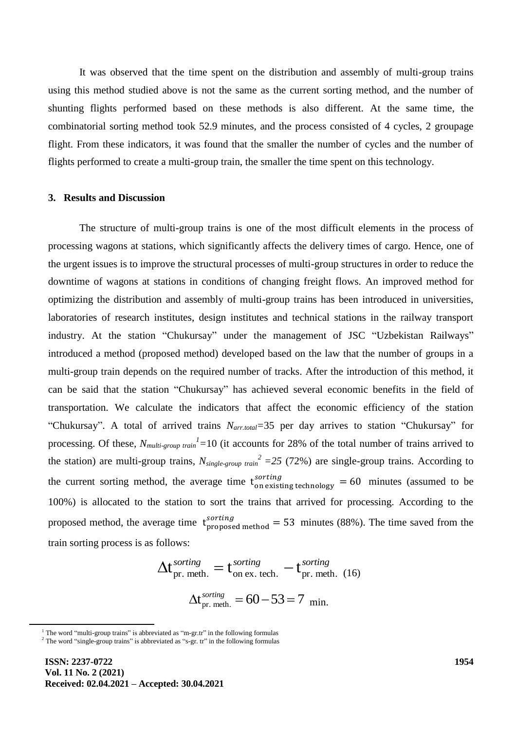It was observed that the time spent on the distribution and assembly of multi-group trains using this method studied above is not the same as the current sorting method, and the number of shunting flights performed based on these methods is also different. At the same time, the combinatorial sorting method took 52.9 minutes, and the process consisted of 4 cycles, 2 groupage flight. From these indicators, it was found that the smaller the number of cycles and the number of flights performed to create a multi-group train, the smaller the time spent on this technology.

### **3. Results and Discussion**

The structure of multi-group trains is one of the most difficult elements in the process of processing wagons at stations, which significantly affects the delivery times of cargo. Hence, one of the urgent issues is to improve the structural processes of multi-group structures in order to reduce the downtime of wagons at stations in conditions of changing freight flows. An improved method for optimizing the distribution and assembly of multi-group trains has been introduced in universities, laboratories of research institutes, design institutes and technical stations in the railway transport industry. At the station "Chukursay" under the management of JSC "Uzbekistan Railways" introduced a method (proposed method) developed based on the law that the number of groups in a multi-group train depends on the required number of tracks. After the introduction of this method, it can be said that the station "Chukursay" has achieved several economic benefits in the field of transportation. We calculate the indicators that affect the economic efficiency of the station "Chukursay". A total of arrived trains *Narr.total=*35 per day arrives to station "Chukursay" for processing. Of these,  $N_{multi-group train}$ <sup>1</sup> $=$ 10 (it accounts for 28% of the total number of trains arrived to the station) are multi-group trains,  $N_{single-group train}^2 = 25 (72%)$  are single-group trains. According to the current sorting method, the average time  $t_{on$  existing technology = 60 minutes (assumed to be 100%) is allocated to the station to sort the trains that arrived for processing. According to the proposed method, the average time  $t_{\text{pronosed method}}^{sorting} = 53$  minutes (88%). The time saved from the train sorting process is as follows:

$$
\Delta t_{\text{pr. meth.}}^{sorting} = t_{\text{on ex. tech.}}^{sorting} - t_{\text{pr. meth. (16)}}^{sorting}
$$

$$
\Delta t_{\text{pr. meth.}}^{sorting} = 60 - 53 = 7 \text{ min.}
$$

 $\overline{\phantom{a}}$ 

 $1$ . The word "multi-group trains" is abbreviated as "m-gr.tr" in the following formulas

 $2$  The word "single-group trains" is abbreviated as "s-gr. tr" in the following formulas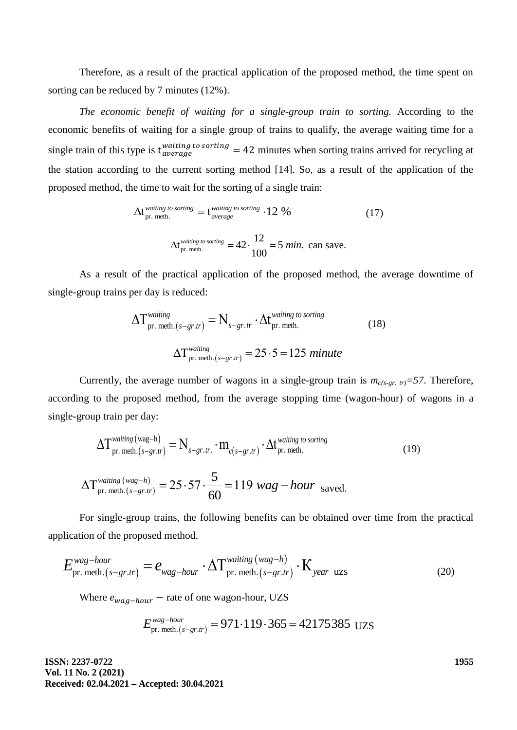Therefore, as a result of the practical application of the proposed method, the time spent on sorting can be reduced by 7 minutes (12%).

*The economic benefit of waiting for a single-group train to sorting.* According to the economic benefits of waiting for a single group of trains to qualify, the average waiting time for a single train of this type is  $t_{average}^{waiting\ to\ sorting} = 42$  minutes when sorting trains arrived for recycling at the station according to the current sorting method [14]. So, as a result of the application of the proposed method, the time to wait for the sorting of a single train:

$$
\Delta t_{\text{pr. meth.}}^{\text{waiting to sorting}} = t_{\text{average}}^{\text{waiting to sorting}} \cdot 12\%
$$
 (17)  

$$
\Delta t_{\text{pr. meth.}}^{\text{waiting to sorting}} = 42 \cdot \frac{12}{100} = 5 \text{ min. can save.}
$$

As a result of the practical application of the proposed method, the average downtime of single-group trains per day is reduced:

$$
\Delta T_{\text{pr. meth.}(s-gr.tr)}^{\text{waiting}} = N_{s-gr.tr} \cdot \Delta t_{\text{pr. meth.}}^{\text{waiting to sorting}}
$$
(18)  

$$
\Delta T_{\text{pr. meth.}(s-gr.tr)}^{\text{waiting}} = 25 \cdot 5 = 125 \text{ minute}
$$

Currently, the average number of wagons in a single-group train is  $m_{c(s-gt, tr)} = 57$ . Therefore, according to the proposed method, from the average stopping time (wagon-hour) of wagons in a single-group train per day:

roup tran per day:  
\n
$$
\Delta T_{pr. \text{ meth.}(s-gr.tr)}^{\text{waiting (wag-h)}} = N_{s-gr.tr.} \cdot m_{c(s-gr.tr)} \cdot \Delta t_{pr. \text{ meth.}}^{\text{wating to sorting}}
$$
\n
$$
\Delta T_{pr. \text{meth.}(s-gr.tr)}^{\text{wating (wag-h)}} = 25.57 \cdot \frac{5}{60} = 119 \text{ wag} - hour \text{ saved.}
$$
\n(19)

For single-group trains, the following benefits can be obtained over time from the practical application of the proposed method.

lication of the proposed method.  
\n
$$
E_{\text{pr. meth.}(s-gr.tr)}^{\text{wag-hour}} = e_{\text{wag-hour}} \cdot \Delta T_{\text{pr. meth.}(s-gr.tr)}^{\text{wating (wag-h)}} \cdot K_{\text{year uzs}}
$$
\n(20)

Where 
$$
e_{wag-hour}
$$
 – rate of one wagon-hour, UZS  

$$
E_{\text{pr. meth.}(s-gr.tr)}^{\text{wag-hour}} = 971 \cdot 119 \cdot 365 = 42175385 \text{ UZS}
$$

**ISSN: 2237-0722 Vol. 11 No. 2 (2021) Received: 02.04.2021 – Accepted: 30.04.2021** **1955**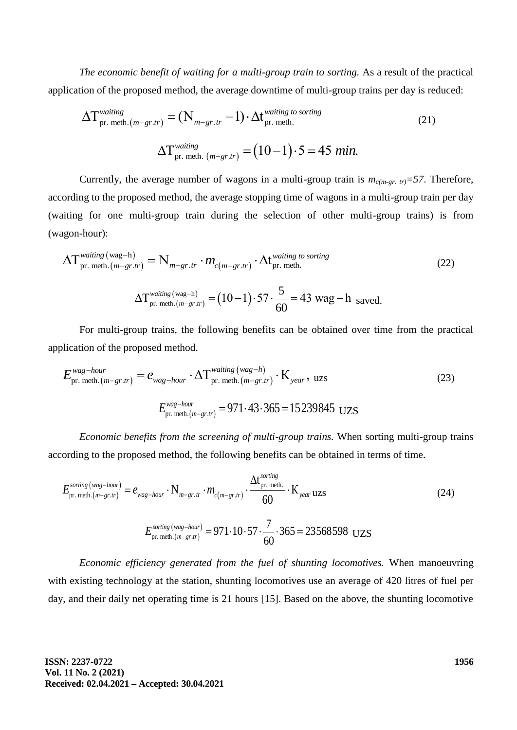*The economic benefit of waiting for a multi-group train to sorting.* As a result of the practical

application of the proposed method, the average downtime of multi-group trains per day is reduced:  
\n
$$
\Delta T_{\text{pr. meth.}(m-gr.tr)}^{\text{waiting}} = (N_{m-gr.tr} - 1) \cdot \Delta t_{\text{pr. meth.}}^{\text{wating to sorting}}
$$
\n
$$
\Delta T_{\text{pr. meth.}(m-gr.tr)}^{\text{wating}} = (10-1) \cdot 5 = 45 \text{ min.}
$$
\n(21)

Currently, the average number of wagons in a multi-group train is  $m_{c(m-er. tr)} = 57$ . Therefore, according to the proposed method, the average stopping time of wagons in a multi-group train per day (waiting for one multi-group train during the selection of other multi-group trains) is from (wagon-hour):

agon-hour):

\n
$$
\Delta T_{\text{pr. meth.}(m-gr.tr)}^{\text{waiting (wag-h)}} = N_{m-gr.tr}} \cdot m_{c(m-gr.tr)} \cdot \Delta t_{\text{pr. meth.}}^{\text{waiting to sorting}}
$$
\n
$$
\Delta T_{\text{pr. meth.}(m-gr.tr)}^{\text{waiting (wag-h)}} = (10-1) \cdot 57 \cdot \frac{5}{60} = 43 \text{ wag} - \text{h} \text{ saved.}
$$
\n(22)

For multi-group trains, the following benefits can be obtained over time from the practical application of the proposed method.

lication of the proposed method.  
\n
$$
E_{\text{pr. meth.}(m-gr.tr)}^{\text{wag-hour}} = e_{\text{wag-hour}} \cdot \Delta T_{\text{pr. meth.}(m-gr.tr)}^{\text{wating (wag-h)}} \cdot \text{K}_{\text{year}}, \text{ uzs}
$$
\n
$$
E_{\text{pr. meth.}(m-gr.tr)}^{\text{wag-hour}} = 971 \cdot 43 \cdot 365 = 15239845 \text{ UZS}
$$
\n(23)

*Economic benefits from the screening of multi-group trains.* When sorting multi-group trains according to the proposed method, the following benefits can be obtained in terms of time.

$$
E_{\text{pr. meth.}(m-gr,tr)}^{\text{sorting (wag-hour)}} = e_{wag-hour} \cdot N_{m-gr.tr} \cdot m_{c(m-gr.tr)} \cdot \frac{\Delta t_{\text{pr. meth.}}^{\text{sorting}}}{60} \cdot K_{\text{year UZS}}
$$
(24)  

$$
E_{\text{pr. meth.}(m-gr.tr)}^{\text{sorting (wag-hour)}} = 971 \cdot 10 \cdot 57 \cdot \frac{7}{60} \cdot 365 = 23568598 \text{ UZS}
$$

*Economic efficiency generated from the fuel of shunting locomotives.* When manoeuvring with existing technology at the station, shunting locomotives use an average of 420 litres of fuel per day, and their daily net operating time is 21 hours [15]. Based on the above, the shunting locomotive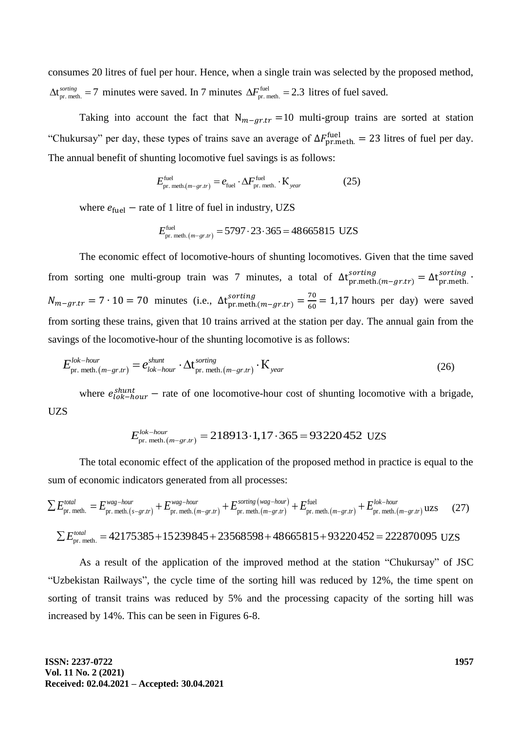consumes 20 litres of fuel per hour. Hence, when a single train was selected by the proposed method,  $\Delta t_{pr. \text{meth.}}^{soring} = 7 \text{ minutes were saved. In 7 minutes } \Delta F_{pr. \text{meth.}}^{fuel} = 2.3 \text{ litres of fuel saved.}$ 

Taking into account the fact that  $N_{m-ar,tr} = 10$  multi-group trains are sorted at station "Chukursay" per day, these types of trains save an average of  $\Delta F_{\text{pr,meth}}^{\text{fuel}} = 23$  litres of fuel per day. The annual benefit of shunting locomotive fuel savings is as follows:

$$
E_{\text{pr. meth.}(m-gr,tr)}^{\text{fuel}} = e_{\text{fuel}} \cdot \Delta F_{\text{pr. meth.}}^{\text{fuel}} \cdot \mathbf{K}_{\text{year}}
$$
 (25)

where 
$$
e_{\text{fuel}} - \text{rate of 1 litre of fuel in industry, UZS}
$$
  

$$
E_{\text{pr. meth.}(m-gr,tr)}^{\text{fuel}} = 5797 \cdot 23 \cdot 365 = 48665815 \text{ UZS}
$$

The economic effect of locomotive-hours of shunting locomotives. Given that the time saved from sorting one multi-group train was 7 minutes, a total of  $\Delta t_{pr,meth,(m-gr,tr)}^{sorting} = \Delta t_{pr,meth}^{sorting}$ .  $N_{m-gr,tr} = 7 \cdot 10 = 70$  minutes (i.e.,  $\Delta t_{pr,meth,(m-gr,tr)}^{\text{sorting}} = \frac{7}{6}$  $\frac{70}{60}$  = 1,17 hours per day) were saved from sorting these trains, given that 10 trains arrived at the station per day. The annual gain from the

savings of the locomotive-hour of the shunting locomotive is as follows:  
\n
$$
E_{\text{pr. meth.}(m-gr,tr)}^{lok-hour} = e_{lok-hour}^{shunt} \cdot \Delta t_{\text{pr. meth.}(m-gr,tr)}^{sorting} \cdot K_{year}
$$
\n(26)

where  $e_{lok-hour}^{shunt}$  – rate of one locomotive-hour cost of shunting locomotive with a brigade, UZS

$$
E_{\text{pr. meth.}(m-gr,tr)}^{lok-hour} = 218913 \cdot 1,17 \cdot 365 = 93220452 \text{ UZs}
$$

The total economic effect of the application of the proposed method in practice is equal to the sum of economic indicators generated from all processes:<br>  $\sum E_{\text{pr. meth.}}^{total} = E_{\text{pr. meth.}(s-gr,tr)}^{wag-hour} + E_{\text{pr. meth.}(m-gr,tr)}^{sorting(wag-hour)} + E_{\text{$ 

sum of economic indicators generated from all processes:  
\n
$$
\sum E_{\text{pr. meth.}}^{total} = E_{\text{pr. meth.}(s-gr,tr)}^{wag-hour} + E_{\text{pr. meth.}(m-gr,tr)}^{wag-hour} + E_{\text{pr. meth.}(m-gr,tr)}^{sorting(wag-hour)} + E_{\text{pr. meth.}(m-gr,tr)}^{fuel} + E_{\text{pr. meth.}(m-gr,tr)}^{total} + E_{\text{pr. meth.}(m-gr,tr)}^{total}
$$
\n
$$
\sum E_{\text{pr. meth.}}^{total} = 42175385 + 15239845 + 23568598 + 48665815 + 93220452 = 222870095 \text{ UZs}
$$

As a result of the application of the improved method at the station "Chukursay" of JSC "Uzbekistan Railways", the cycle time of the sorting hill was reduced by 12%, the time spent on sorting of transit trains was reduced by 5% and the processing capacity of the sorting hill was increased by 14%. This can be seen in Figures 6-8.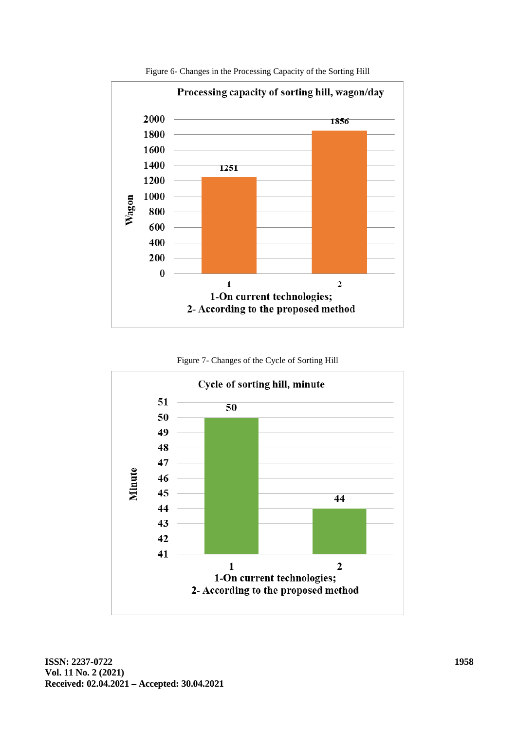

Figure 6- Changes in the Processing Capacity of the Sorting Hill



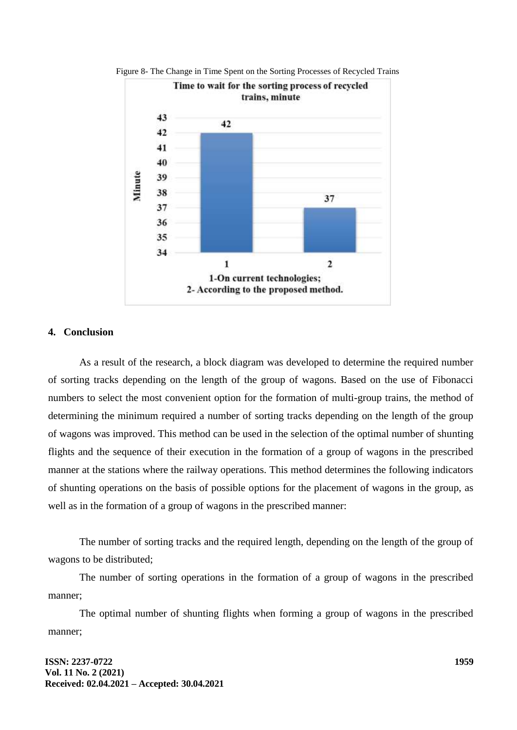

Figure 8- The Change in Time Spent on the Sorting Processes of Recycled Trains

# **4. Conclusion**

As a result of the research, a block diagram was developed to determine the required number of sorting tracks depending on the length of the group of wagons. Based on the use of Fibonacci numbers to select the most convenient option for the formation of multi-group trains, the method of determining the minimum required a number of sorting tracks depending on the length of the group of wagons was improved. This method can be used in the selection of the optimal number of shunting flights and the sequence of their execution in the formation of a group of wagons in the prescribed manner at the stations where the railway operations. This method determines the following indicators of shunting operations on the basis of possible options for the placement of wagons in the group, as well as in the formation of a group of wagons in the prescribed manner:

The number of sorting tracks and the required length, depending on the length of the group of wagons to be distributed;

The number of sorting operations in the formation of a group of wagons in the prescribed manner;

The optimal number of shunting flights when forming a group of wagons in the prescribed manner;